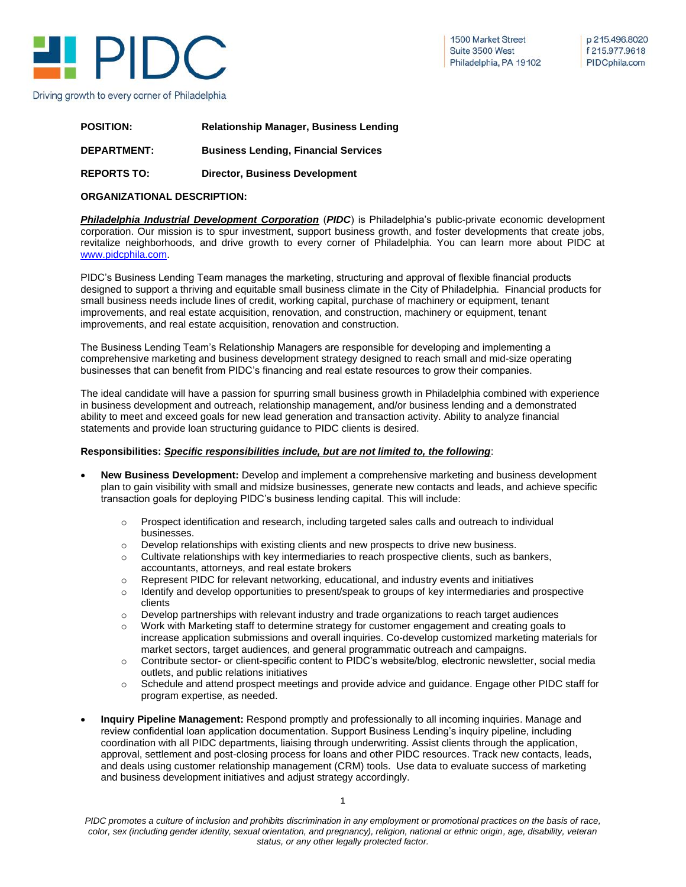

1500 Market Street Suite 3500 West Philadelphia, PA 19102

p 215.496.8020 f 215.977.9618 PIDCphila.com

| <b>POSITION:</b>   | <b>Relationship Manager, Business Lending</b> |
|--------------------|-----------------------------------------------|
| <b>DEPARTMENT:</b> | <b>Business Lending, Financial Services</b>   |
| <b>REPORTS TO:</b> | <b>Director, Business Development</b>         |

### **ORGANIZATIONAL DESCRIPTION:**

*Philadelphia Industrial Development Corporation* (*PIDC*) is Philadelphia's public-private economic development corporation. Our mission is to spur investment, support business growth, and foster developments that create jobs, revitalize neighborhoods, and drive growth to every corner of Philadelphia. You can learn more about PIDC at [www.pidcphila.com.](http://www.pidcphila.com/)

PIDC's Business Lending Team manages the marketing, structuring and approval of flexible financial products designed to support a thriving and equitable small business climate in the City of Philadelphia. Financial products for small business needs include lines of credit, working capital, purchase of machinery or equipment, tenant improvements, and real estate acquisition, renovation, and construction, machinery or equipment, tenant improvements, and real estate acquisition, renovation and construction.

The Business Lending Team's Relationship Managers are responsible for developing and implementing a comprehensive marketing and business development strategy designed to reach small and mid-size operating businesses that can benefit from PIDC's financing and real estate resources to grow their companies.

The ideal candidate will have a passion for spurring small business growth in Philadelphia combined with experience in business development and outreach, relationship management, and/or business lending and a demonstrated ability to meet and exceed goals for new lead generation and transaction activity. Ability to analyze financial statements and provide loan structuring guidance to PIDC clients is desired.

### **Responsibilities:** *Specific responsibilities include, but are not limited to, the following*:

- **New Business Development:** Develop and implement a comprehensive marketing and business development plan to gain visibility with small and midsize businesses, generate new contacts and leads, and achieve specific transaction goals for deploying PIDC's business lending capital. This will include:
	- $\circ$  Prospect identification and research, including targeted sales calls and outreach to individual businesses.
	- o Develop relationships with existing clients and new prospects to drive new business.
	- $\circ$  Cultivate relationships with key intermediaries to reach prospective clients, such as bankers, accountants, attorneys, and real estate brokers
	- o Represent PIDC for relevant networking, educational, and industry events and initiatives
	- o Identify and develop opportunities to present/speak to groups of key intermediaries and prospective clients
	- $\circ$  Develop partnerships with relevant industry and trade organizations to reach target audiences
	- o Work with Marketing staff to determine strategy for customer engagement and creating goals to increase application submissions and overall inquiries. Co-develop customized marketing materials for market sectors, target audiences, and general programmatic outreach and campaigns.
	- o Contribute sector- or client-specific content to PIDC's website/blog, electronic newsletter, social media outlets, and public relations initiatives
	- o Schedule and attend prospect meetings and provide advice and guidance. Engage other PIDC staff for program expertise, as needed.
- **Inquiry Pipeline Management:** Respond promptly and professionally to all incoming inquiries. Manage and review confidential loan application documentation. Support Business Lending's inquiry pipeline, including coordination with all PIDC departments, liaising through underwriting. Assist clients through the application, approval, settlement and post-closing process for loans and other PIDC resources. Track new contacts, leads, and deals using customer relationship management (CRM) tools. Use data to evaluate success of marketing and business development initiatives and adjust strategy accordingly.

*PIDC promotes a culture of inclusion and prohibits discrimination in any employment or promotional practices on the basis of race, color, sex (including gender identity, sexual orientation, and pregnancy), religion, national or ethnic origin, age, disability, veteran status, or any other legally protected factor.*